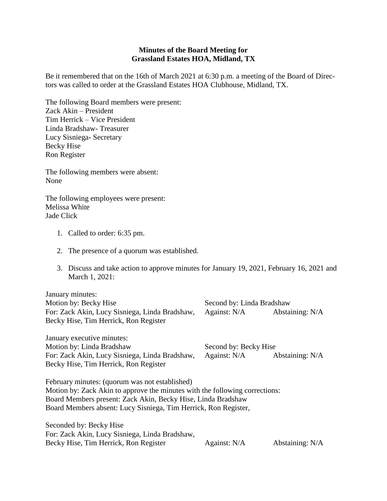## **Minutes of the Board Meeting for Grassland Estates HOA, Midland, TX**

Be it remembered that on the 16th of March 2021 at 6:30 p.m. a meeting of the Board of Directors was called to order at the Grassland Estates HOA Clubhouse, Midland, TX.

The following Board members were present: Zack Akin – President Tim Herrick – Vice President Linda Bradshaw- Treasurer Lucy Sisniega- Secretary Becky Hise Ron Register

The following members were absent: None

The following employees were present: Melissa White Jade Click

- 1. Called to order: 6:35 pm.
- 2. The presence of a quorum was established.
- 3. Discuss and take action to approve minutes for January 19, 2021, February 16, 2021 and March 1, 2021:

January minutes: Motion by: Becky Hise Second by: Linda Bradshaw For: Zack Akin, Lucy Sisniega, Linda Bradshaw, Against: N/A Abstaining: N/A Becky Hise, Tim Herrick, Ron Register

January executive minutes: Motion by: Linda Bradshaw Second by: Becky Hise For: Zack Akin, Lucy Sisniega, Linda Bradshaw, Against: N/A Abstaining: N/A Becky Hise, Tim Herrick, Ron Register

February minutes: (quorum was not established) Motion by: Zack Akin to approve the minutes with the following corrections: Board Members present: Zack Akin, Becky Hise, Linda Bradshaw Board Members absent: Lucy Sisniega, Tim Herrick, Ron Register,

Seconded by: Becky Hise For: Zack Akin, Lucy Sisniega, Linda Bradshaw, Becky Hise, Tim Herrick, Ron Register Against: N/A Abstaining: N/A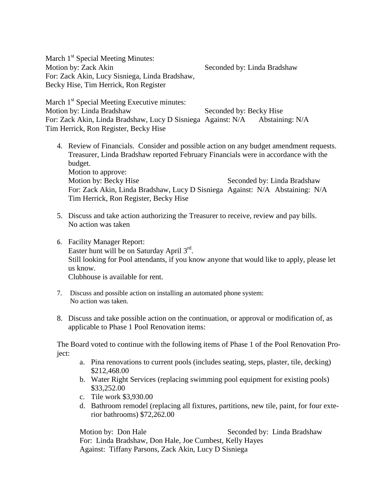March 1<sup>st</sup> Special Meeting Minutes: Motion by: Zack Akin Seconded by: Linda Bradshaw For: Zack Akin, Lucy Sisniega, Linda Bradshaw, Becky Hise, Tim Herrick, Ron Register

March 1<sup>st</sup> Special Meeting Executive minutes: Motion by: Linda Bradshaw Seconded by: Becky Hise For: Zack Akin, Linda Bradshaw, Lucy D Sisniega Against: N/A Abstaining: N/A Tim Herrick, Ron Register, Becky Hise

- 4. Review of Financials. Consider and possible action on any budget amendment requests. Treasurer, Linda Bradshaw reported February Financials were in accordance with the budget. Motion to approve: Motion by: Becky Hise Seconded by: Linda Bradshaw For: Zack Akin, Linda Bradshaw, Lucy D Sisniega Against: N/A Abstaining: N/A Tim Herrick, Ron Register, Becky Hise
- 5. Discuss and take action authorizing the Treasurer to receive, review and pay bills. No action was taken
- 6. Facility Manager Report: Easter hunt will be on Saturday April  $3<sup>rd</sup>$ . Still looking for Pool attendants, if you know anyone that would like to apply, please let us know. Clubhouse is available for rent.
- 7. Discuss and possible action on installing an automated phone system: No action was taken.
- 8. Discuss and take possible action on the continuation, or approval or modification of, as applicable to Phase 1 Pool Renovation items:

The Board voted to continue with the following items of Phase 1 of the Pool Renovation Project:

- a. Pina renovations to current pools (includes seating, steps, plaster, tile, decking) \$212,468.00
- b. Water Right Services (replacing swimming pool equipment for existing pools) \$33,252.00
- c. Tile work \$3,930.00
- d. Bathroom remodel (replacing all fixtures, partitions, new tile, paint, for four exterior bathrooms) \$72,262.00

Motion by: Don Hale Seconded by: Linda Bradshaw For: Linda Bradshaw, Don Hale, Joe Cumbest, Kelly Hayes Against: Tiffany Parsons, Zack Akin, Lucy D Sisniega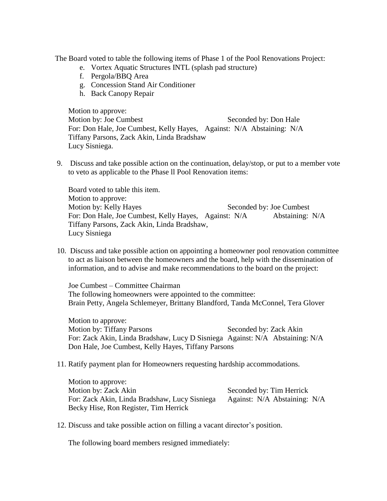The Board voted to table the following items of Phase 1 of the Pool Renovations Project:

- e. Vortex Aquatic Structures INTL (splash pad structure)
- f. Pergola/BBQ Area
- g. Concession Stand Air Conditioner
- h. Back Canopy Repair

Motion to approve: Motion by: Joe Cumbest Seconded by: Don Hale For: Don Hale, Joe Cumbest, Kelly Hayes, Against: N/A Abstaining: N/A Tiffany Parsons, Zack Akin, Linda Bradshaw Lucy Sisniega.

9. Discuss and take possible action on the continuation, delay/stop, or put to a member vote to veto as applicable to the Phase ll Pool Renovation items:

Board voted to table this item. Motion to approve: Motion by: Kelly Hayes Seconded by: Joe Cumbest For: Don Hale, Joe Cumbest, Kelly Hayes, Against: N/A Abstaining: N/A Tiffany Parsons, Zack Akin, Linda Bradshaw, Lucy Sisniega

10. Discuss and take possible action on appointing a homeowner pool renovation committee to act as liaison between the homeowners and the board, help with the dissemination of information, and to advise and make recommendations to the board on the project:

Joe Cumbest – Committee Chairman The following homeowners were appointed to the committee: Brain Petty, Angela Schlemeyer, Brittany Blandford, Tanda McConnel, Tera Glover

Motion to approve: Motion by: Tiffany Parsons Seconded by: Zack Akin For: Zack Akin, Linda Bradshaw, Lucy D Sisniega Against: N/A Abstaining: N/A Don Hale, Joe Cumbest, Kelly Hayes, Tiffany Parsons

11. Ratify payment plan for Homeowners requesting hardship accommodations.

Motion to approve: Motion by: Zack Akin Seconded by: Tim Herrick For: Zack Akin, Linda Bradshaw, Lucy Sisniega Against: N/A Abstaining: N/A Becky Hise, Ron Register, Tim Herrick

12. Discuss and take possible action on filling a vacant director's position.

The following board members resigned immediately: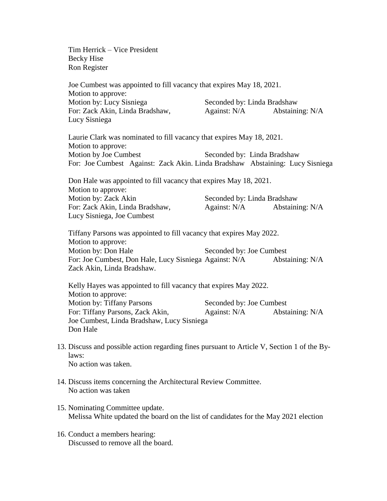Tim Herrick – Vice President Becky Hise Ron Register

Joe Cumbest was appointed to fill vacancy that expires May 18, 2021. Motion to approve: Motion by: Lucy Sisniega Seconded by: Linda Bradshaw For: Zack Akin, Linda Bradshaw, Against: N/A Abstaining: N/A Lucy Sisniega Laurie Clark was nominated to fill vacancy that expires May 18, 2021. Motion to approve: Motion by Joe Cumbest Seconded by: Linda Bradshaw For: Joe Cumbest Against: Zack Akin. Linda Bradshaw Abstaining: Lucy Sisniega Don Hale was appointed to fill vacancy that expires May 18, 2021. Motion to approve: Motion by: Zack Akin Seconded by: Linda Bradshaw For: Zack Akin, Linda Bradshaw, Against: N/A Abstaining: N/A Lucy Sisniega, Joe Cumbest Tiffany Parsons was appointed to fill vacancy that expires May 2022. Motion to approve: Motion by: Don Hale Seconded by: Joe Cumbest For: Joe Cumbest, Don Hale, Lucy Sisniega Against: N/A Abstaining: N/A Zack Akin, Linda Bradshaw. Kelly Hayes was appointed to fill vacancy that expires May 2022. Motion to approve: Motion by: Tiffany Parsons Seconded by: Joe Cumbest For: Tiffany Parsons, Zack Akin, Against: N/A Abstaining: N/A Joe Cumbest, Linda Bradshaw, Lucy Sisniega Don Hale 13. Discuss and possible action regarding fines pursuant to Article V, Section 1 of the By-

- laws: No action was taken.
- 14. Discuss items concerning the Architectural Review Committee. No action was taken
- 15. Nominating Committee update. Melissa White updated the board on the list of candidates for the May 2021 election
- 16. Conduct a members hearing: Discussed to remove all the board.